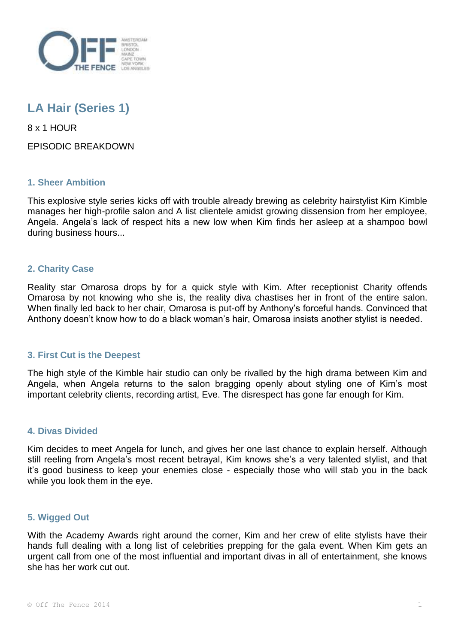

# **LA Hair (Series 1)**

8 x 1 HOUR

EPISODIC BREAKDOWN

# **1. Sheer Ambition**

This explosive style series kicks off with trouble already brewing as celebrity hairstylist Kim Kimble manages her high-profile salon and A list clientele amidst growing dissension from her employee, Angela. Angela's lack of respect hits a new low when Kim finds her asleep at a shampoo bowl during business hours...

# **2. Charity Case**

Reality star Omarosa drops by for a quick style with Kim. After receptionist Charity offends Omarosa by not knowing who she is, the reality diva chastises her in front of the entire salon. When finally led back to her chair, Omarosa is put-off by Anthony's forceful hands. Convinced that Anthony doesn't know how to do a black woman's hair, Omarosa insists another stylist is needed.

#### **3. First Cut is the Deepest**

The high style of the Kimble hair studio can only be rivalled by the high drama between Kim and Angela, when Angela returns to the salon bragging openly about styling one of Kim's most important celebrity clients, recording artist, Eve. The disrespect has gone far enough for Kim.

## **4. Divas Divided**

Kim decides to meet Angela for lunch, and gives her one last chance to explain herself. Although still reeling from Angela's most recent betrayal, Kim knows she's a very talented stylist, and that it's good business to keep your enemies close - especially those who will stab you in the back while you look them in the eye.

#### **5. Wigged Out**

With the Academy Awards right around the corner, Kim and her crew of elite stylists have their hands full dealing with a long list of celebrities prepping for the gala event. When Kim gets an urgent call from one of the most influential and important divas in all of entertainment, she knows she has her work cut out.